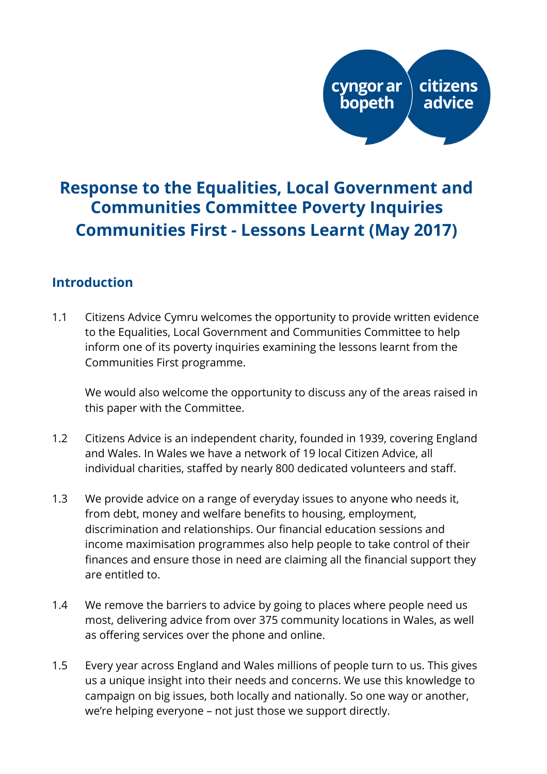# **Response to the Equalities, Local Government and Communities Committee Poverty Inquiries Communities First - Lessons Learnt (May 2017)**

### **Introduction**

1.1 Citizens Advice Cymru welcomes the opportunity to provide written evidence to the Equalities, Local Government and Communities Committee to help inform one of its poverty inquiries examining the lessons learnt from the Communities First programme.

We would also welcome the opportunity to discuss any of the areas raised in this paper with the Committee.

- 1.2 Citizens Advice is an independent charity, founded in 1939, covering England and Wales. In Wales we have a network of 19 local Citizen Advice, all individual charities, staffed by nearly 800 dedicated volunteers and staff.
- 1.3 We provide advice on a range of everyday issues to anyone who needs it, from debt, money and welfare benefits to housing, employment, discrimination and relationships. Our financial education sessions and income maximisation programmes also help people to take control of their finances and ensure those in need are claiming all the financial support they are entitled to.
- 1.4 We remove the barriers to advice by going to places where people need us most, delivering advice from over 375 community locations in Wales, as well as offering services over the phone and online.
- 1.5 Every year across England and Wales millions of people turn to us. This gives us a unique insight into their needs and concerns. We use this knowledge to campaign on big issues, both locally and nationally. So one way or another, we're helping everyone – not just those we support directly.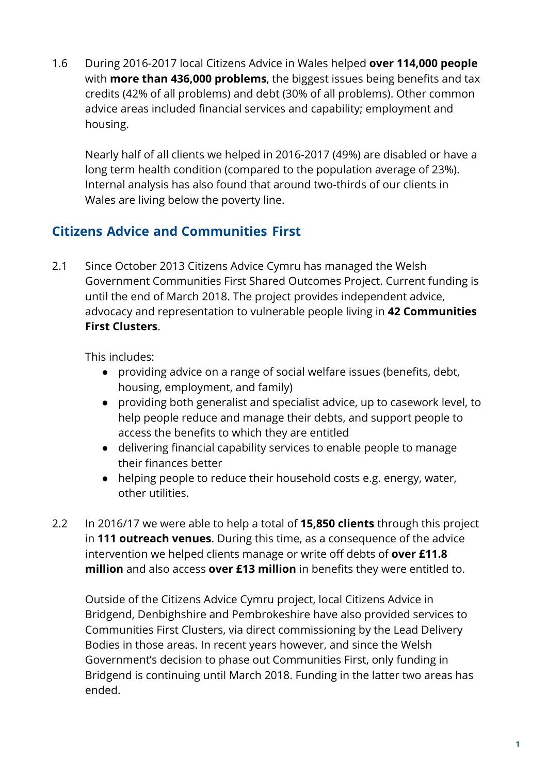1.6 During 2016-2017 local Citizens Advice in Wales helped **over 114,000 people** with **more than 436,000 problems**, the biggest issues being benefits and tax credits (42% of all problems) and debt (30% of all problems). Other common advice areas included financial services and capability; employment and housing.

Nearly half of all clients we helped in 2016-2017 (49%) are disabled or have a long term health condition (compared to the population average of 23%). Internal analysis has also found that around two-thirds of our clients in Wales are living below the poverty line.

# **Citizens Advice and Communities First**

2.1 Since October 2013 Citizens Advice Cymru has managed the Welsh Government Communities First Shared Outcomes Project. Current funding is until the end of March 2018. The project provides independent advice, advocacy and representation to vulnerable people living in **42 Communities First Clusters** .

This includes:

- providing advice on a range of social welfare issues (benefits, debt, housing, employment, and family)
- providing both generalist and specialist advice, up to casework level, to help people reduce and manage their debts, and support people to access the benefits to which they are entitled
- delivering financial capability services to enable people to manage their finances better
- helping people to reduce their household costs e.g. energy, water, other utilities.
- 2.2 In 2016/17 we were able to help a total of **15,850 clients** through this project in **111 outreach venues** . During this time, as a consequence of the advice intervention we helped clients manage or write off debts of **over £11.8 million** and also access **over £13 million** in benefits they were entitled to.

Outside of the Citizens Advice Cymru project, local Citizens Advice in Bridgend, Denbighshire and Pembrokeshire have also provided services to Communities First Clusters, via direct commissioning by the Lead Delivery Bodies in those areas. In recent years however, and since the Welsh Government's decision to phase out Communities First, only funding in Bridgend is continuing until March 2018. Funding in the latter two areas has ended.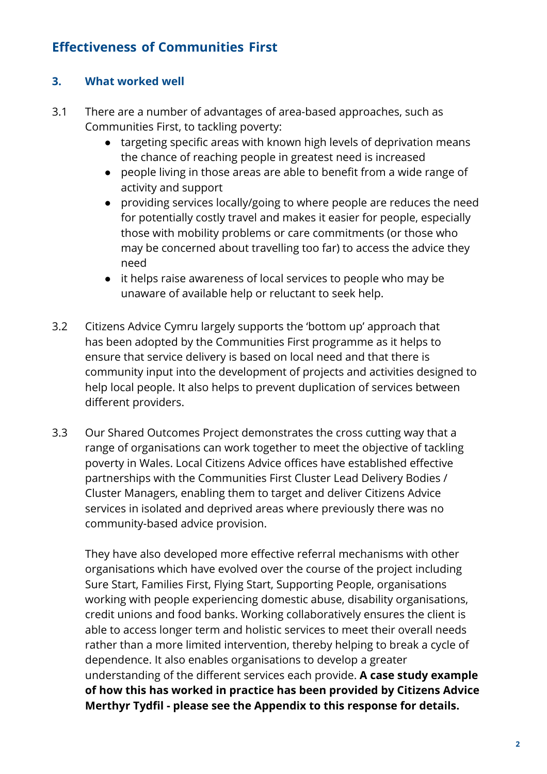# **Effectiveness of Communities First**

#### **3. What worked well**

- 3.1 There are a number of advantages of area-based approaches, such as Communities First, to tackling poverty:
	- $\bullet$  targeting specific areas with known high levels of deprivation means the chance of reaching people in greatest need is increased
	- people living in those areas are able to benefit from a wide range of activity and support
	- providing services locally/going to where people are reduces the need for potentially costly travel and makes it easier for people, especially those with mobility problems or care commitments (or those who may be concerned about travelling too far) to access the advice they need
	- it helps raise awareness of local services to people who may be unaware of available help or reluctant to seek help.
- 3.2 Citizens Advice Cymru largely supports the 'bottom up' approach that has been adopted by the Communities First programme as it helps to ensure that service delivery is based on local need and that there is community input into the development of projects and activities designed to help local people. It also helps to prevent duplication of services between different providers.
- 3.3 Our Shared Outcomes Project demonstrates the cross cutting way that a range of organisations can work together to meet the objective of tackling poverty in Wales. Local Citizens Advice offices have established effective partnerships with the Communities First Cluster Lead Delivery Bodies / Cluster Managers, enabling them to target and deliver Citizens Advice services in isolated and deprived areas where previously there was no community-based advice provision.

They have also developed more effective referral mechanisms with other organisations which have evolved over the course of the project including Sure Start, Families First, Flying Start, Supporting People, organisations working with people experiencing domestic abuse, disability organisations, credit unions and food banks. Working collaboratively ensures the client is able to access longer term and holistic services to meet their overall needs rather than a more limited intervention, thereby helping to break a cycle of dependence. It also enables organisations to develop a greater understanding of the different services each provide. A case study example **of how this has worked in practice has been provided by Citizens Advice Merthyr Tydfil - please see the Appendix to this response for details.**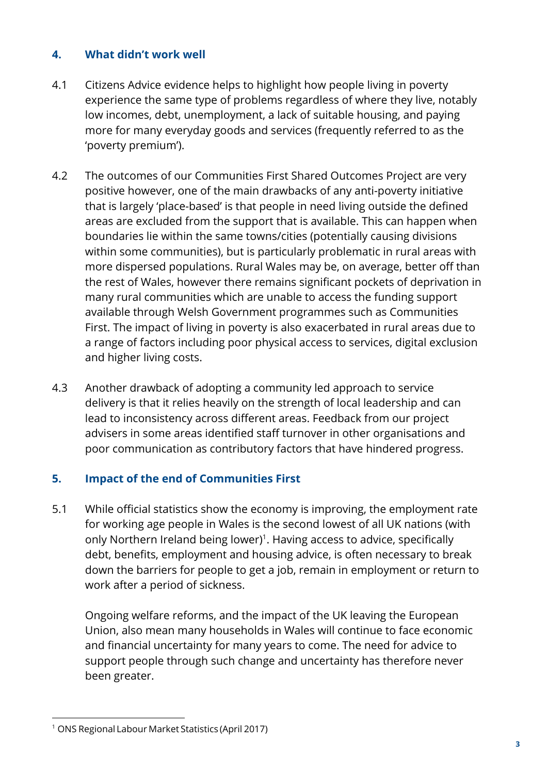#### **4. What didn't work well**

- 4.1 Citizens Advice evidence helps to highlight how people living in poverty experience the same type of problems regardless of where they live, notably low incomes, debt, unemployment, a lack of suitable housing, and paying more for many everyday goods and services (frequently referred to as the 'poverty premium').
- 4.2 The outcomes of our Communities First Shared Outcomes Project are very positive however, one of the main drawbacks of any anti-poverty initiative that is largely 'place-based' is that people in need living outside the defined areas are excluded from the support that is available. This can happen when boundaries lie within the same towns/cities (potentially causing divisions within some communities), but is particularly problematic in rural areas with more dispersed populations. Rural Wales may be, on average, better off than the rest of Wales, however there remains significant pockets of deprivation in many rural communities which are unable to access the funding support available through Welsh Government programmes such as Communities First. The impact of living in poverty is also exacerbated in rural areas due to a range of factors including poor physical access to services, digital exclusion and higher living costs.
- 4.3 Another drawback of adopting a community led approach to service delivery is that it relies heavily on the strength of local leadership and can lead to inconsistency across different areas. Feedback from our project advisers in some areas identified staff turnover in other organisations and poor communication as contributory factors that have hindered progress.

#### **5. Impact of the end of Communities First**

5.1 While official statistics show the economy is improving, the employment rate for working age people in Wales is the second lowest of all UK nations (with only Northern Ireland being lower)<sup>1</sup>. Having access to advice, specifically debt, benefits, employment and housing advice, is often necessary to break down the barriers for people to get a job, remain in employment or return to work after a period of sickness.

Ongoing welfare reforms, and the impact of the UK leaving the European Union, also mean many households in Wales will continue to face economic and financial uncertainty for many years to come. The need for advice to support people through such change and uncertainty has therefore never been greater.

<sup>1</sup> ONS Regional Labour Market Statistics (April 2017)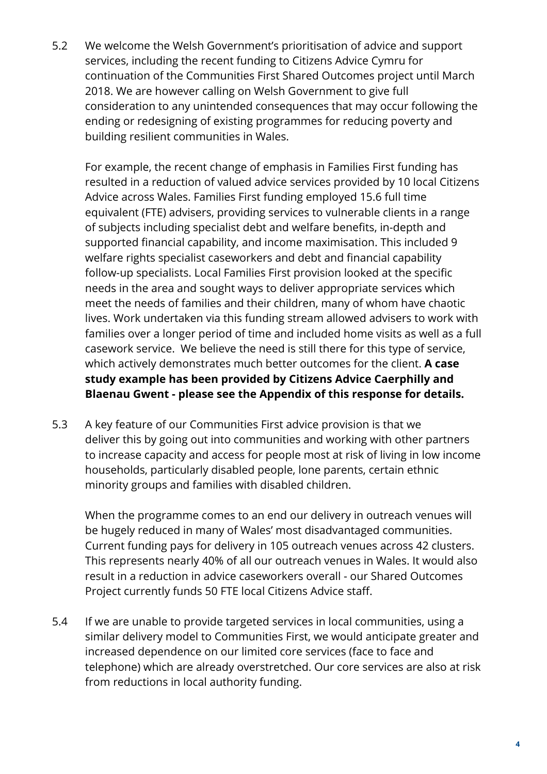5.2 We welcome the Welsh Government's prioritisation of advice and support services, including the recent funding to Citizens Advice Cymru for continuation of the Communities First Shared Outcomes project until March 2018. We are however calling on Welsh Government to give full consideration to any unintended consequences that may occur following the ending or redesigning of existing programmes for reducing poverty and building resilient communities in Wales.

For example, the recent change of emphasis in Families First funding has resulted in a reduction of valued advice services provided by 10 local Citizens Advice across Wales. Families First funding employed 15.6 full time equivalent (FTE) advisers, providing services to vulnerable clients in a range of subjects including specialist debt and welfare benefits, in-depth and supported financial capability, and income maximisation. This included 9 welfare rights specialist caseworkers and debt and financial capability follow-up specialists. Local Families First provision looked at the specific needs in the area and sought ways to deliver appropriate services which meet the needs of families and their children, many of whom have chaotic lives. Work undertaken via this funding stream allowed advisers to work with families over a longer period of time and included home visits as well as a full casework service. We believe the need is still there for this type of service, which actively demonstrates much better outcomes for the client. **A case study example has been provided by Citizens Advice Caerphilly and Blaenau Gwent - please see the Appendix of this response for details.**

5.3 A key feature of our Communities First advice provision is that we deliver this by going out into communities and working with other partners to increase capacity and access for people most at risk of living in low income households, particularly disabled people, lone parents, certain ethnic minority groups and families with disabled children.

When the programme comes to an end our delivery in outreach venues will be hugely reduced in many of Wales' most disadvantaged communities. Current funding pays for delivery in 105 outreach venues across 42 clusters. This represents nearly 40% of all our outreach venues in Wales. It would also result in a reduction in advice caseworkers overall - our Shared Outcomes Project currently funds 50 FTE local Citizens Advice staff.

5.4 If we are unable to provide targeted services in local communities, using a similar delivery model to Communities First, we would anticipate greater and increased dependence on our limited core services (face to face and telephone) which are already overstretched. Our core services are also at risk from reductions in local authority funding.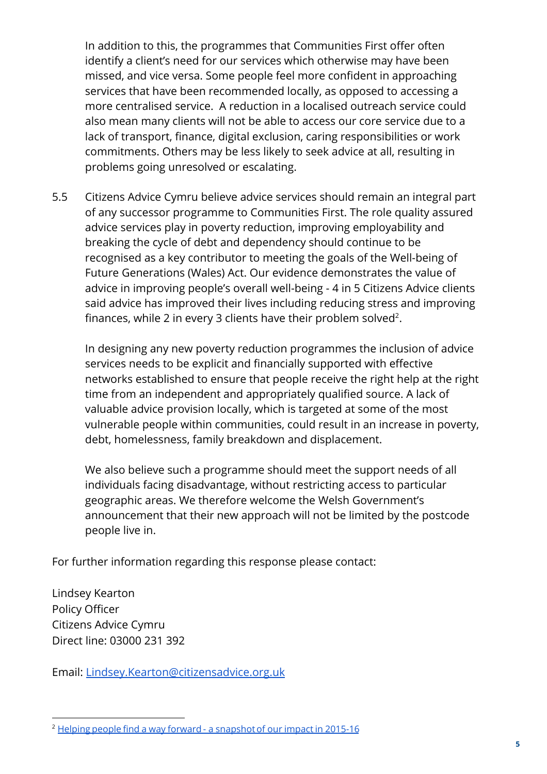In addition to this, the programmes that Communities First offer often identify a client's need for our services which otherwise may have been missed, and vice versa. Some people feel more confident in approaching services that have been recommended locally, as opposed to accessing a more centralised service. A reduction in a localised outreach service could also mean many clients will not be able to access our core service due to a lack of transport, finance, digital exclusion, caring responsibilities or work commitments. Others may be less likely to seek advice at all, resulting in problems going unresolved or escalating.

5.5 Citizens Advice Cymru believe advice services should remain an integral part of any successor programme to Communities First. The role quality assured advice services play in poverty reduction, improving employability and breaking the cycle of debt and dependency should continue to be recognised as a key contributor to meeting the goals of the Well-being of Future Generations (Wales) Act. Our evidence demonstrates the value of advice in improving people's overall well-being - 4 in 5 Citizens Advice clients said advice has improved their lives including reducing stress and improving finances, while 2 in every 3 clients have their problem solved<sup>2</sup>.

In designing any new poverty reduction programmes the inclusion of advice services needs to be explicit and financially supported with effective networks established to ensure that people receive the right help at the right time from an independent and appropriately qualified source. A lack of valuable advice provision locally, which is targeted at some of the most vulnerable people within communities, could result in an increase in poverty, debt, homelessness, family breakdown and displacement.

We also believe such a programme should meet the support needs of all individuals facing disadvantage, without restricting access to particular geographic areas. We therefore welcome the Welsh Government's announcement that their new approach will not be limited by the postcode people live in.

For further information regarding this response please contact:

Lindsey Kearton Policy Officer Citizens Advice Cymru Direct line: 03000 231 392

Email: [Lindsey.Kearton@citizensadvice.org.uk](mailto:Lindsey.Kearton@citizensadvice.org.uk)

<sup>&</sup>lt;sup>2</sup> Helping people find a way forward - a snapshot of our impact in 2015-16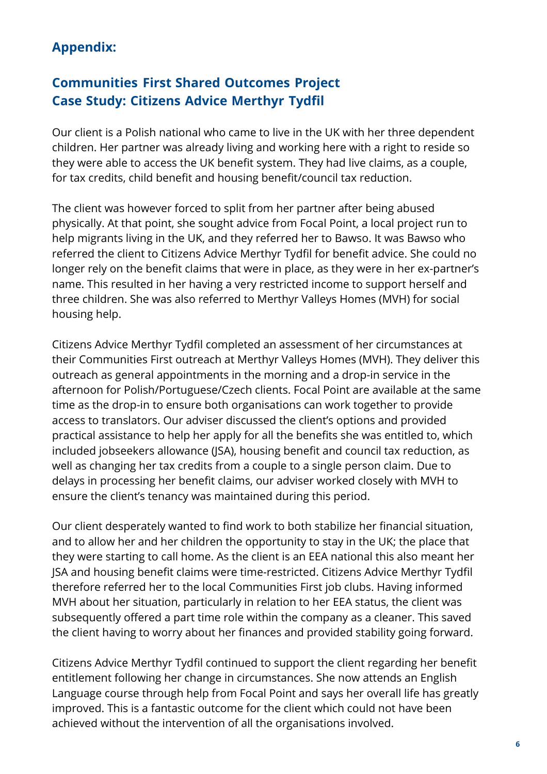# **Appendix:**

# **Communities First Shared Outcomes Project Case Study: Citizens Advice Merthyr Tydfil**

Our client is a Polish national who came to live in the UK with her three dependent children. Her partner was already living and working here with a right to reside so they were able to access the UK benefit system. They had live claims, as a couple, for tax credits, child benefit and housing benefit/council tax reduction.

The client was however forced to split from her partner after being abused physically. At that point, she sought advice from Focal Point, a local project run to help migrants living in the UK, and they referred her to Bawso. It was Bawso who referred the client to Citizens Advice Merthyr Tydfil for benefit advice. She could no longer rely on the benefit claims that were in place, as they were in her ex-partner's name. This resulted in her having a very restricted income to support herself and three children. She was also referred to Merthyr Valleys Homes (MVH) for social housing help.

Citizens Advice Merthyr Tydfil completed an assessment of her circumstances at their Communities First outreach at Merthyr Valleys Homes (MVH). They deliver this outreach as general appointments in the morning and a drop-in service in the afternoon for Polish/Portuguese/Czech clients. Focal Point are available at the same time as the drop-in to ensure both organisations can work together to provide access to translators. Our adviser discussed the client's options and provided practical assistance to help her apply for all the benefits she was entitled to, which included jobseekers allowance (JSA), housing benefit and council tax reduction, as well as changing her tax credits from a couple to a single person claim. Due to delays in processing her benefit claims, our adviser worked closely with MVH to ensure the client's tenancy was maintained during this period.

Our client desperately wanted to find work to both stabilize her financial situation, and to allow her and her children the opportunity to stay in the UK; the place that they were starting to call home. As the client is an EEA national this also meant her JSA and housing benefit claims were time-restricted. Citizens Advice Merthyr Tydfil therefore referred her to the local Communities First job clubs. Having informed MVH about her situation, particularly in relation to her EEA status, the client was subsequently offered a part time role within the company as a cleaner. This saved the client having to worry about her finances and provided stability going forward.

Citizens Advice Merthyr Tydfil continued to support the client regarding her benefit entitlement following her change in circumstances. She now attends an English Language course through help from Focal Point and says her overall life has greatly improved. This is a fantastic outcome for the client which could not have been achieved without the intervention of all the organisations involved.